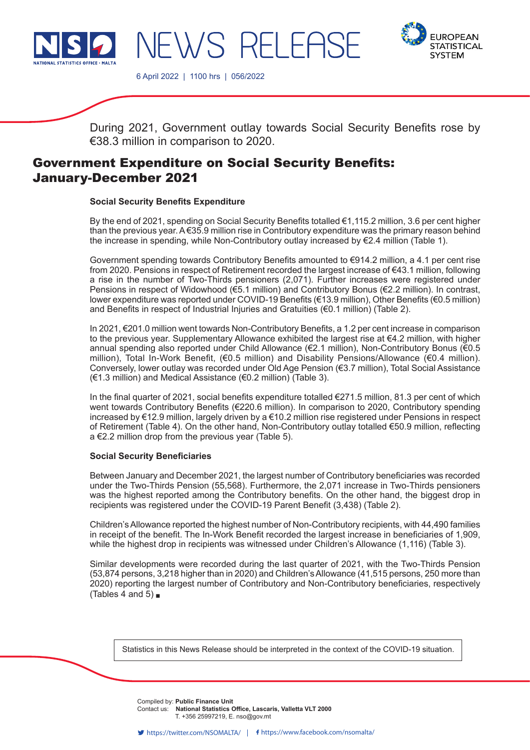



6 April 2022 | 1100 hrs | 056/2022

JEWS RELEAS

During 2021, Government outlay towards Social Security Benefits rose by €38.3 million in comparison to 2020.

# Government Expenditure on Social Security Benefits: January-December 2021

# **Social Security Benefits Expenditure**

By the end of 2021, spending on Social Security Benefits totalled €1,115.2 million, 3.6 per cent higher than the previous year. A €35.9 million rise in Contributory expenditure was the primary reason behind the increase in spending, while Non-Contributory outlay increased by €2.4 million (Table 1).

Government spending towards Contributory Benefits amounted to €914.2 million, a 4.1 per cent rise from 2020. Pensions in respect of Retirement recorded the largest increase of €43.1 million, following a rise in the number of Two-Thirds pensioners (2,071). Further increases were registered under Pensions in respect of Widowhood (€5.1 million) and Contributory Bonus (€2.2 million). In contrast, lower expenditure was reported under COVID-19 Benefits (€13.9 million), Other Benefits (€0.5 million) and Benefits in respect of Industrial Injuries and Gratuities (€0.1 million) (Table 2).

In 2021, €201.0 million went towards Non-Contributory Benefits, a 1.2 per cent increase in comparison to the previous year. Supplementary Allowance exhibited the largest rise at €4.2 million, with higher annual spending also reported under Child Allowance (€2.1 million), Non-Contributory Bonus (€0.5 million), Total In-Work Benefit, (€0.5 million) and Disability Pensions/Allowance (€0.4 million). Conversely, lower outlay was recorded under Old Age Pension (€3.7 million), Total Social Assistance (€1.3 million) and Medical Assistance (€0.2 million) (Table 3).

In the final quarter of 2021, social benefits expenditure totalled €271.5 million, 81.3 per cent of which went towards Contributory Benefits (€220.6 million). In comparison to 2020, Contributory spending increased by €12.9 million, largely driven by a €10.2 million rise registered under Pensions in respect of Retirement (Table 4). On the other hand, Non-Contributory outlay totalled €50.9 million, reflecting a €2.2 million drop from the previous year (Table 5).

## **Social Security Beneficiaries**

Between January and December 2021, the largest number of Contributory beneficiaries was recorded under the Two-Thirds Pension (55,568). Furthermore, the 2,071 increase in Two-Thirds pensioners was the highest reported among the Contributory benefits. On the other hand, the biggest drop in recipients was registered under the COVID-19 Parent Benefit (3,438) (Table 2).

Children's Allowance reported the highest number of Non-Contributory recipients, with 44,490 families in receipt of the benefit. The In-Work Benefit recorded the largest increase in beneficiaries of 1,909, while the highest drop in recipients was witnessed under Children's Allowance (1,116) (Table 3).

Similar developments were recorded during the last quarter of 2021, with the Two-Thirds Pension (53,874 persons, 3,218 higher than in 2020) and Children's Allowance (41,515 persons, 250 more than 2020) reporting the largest number of Contributory and Non-Contributory beneficiaries, respectively (Tables 4 and 5) $\blacksquare$ 

Statistics in this News Release should be interpreted in the context of the COVID-19 situation.

Compiled by: Public Finance Unit **Company** from this release. **Contact us: National Statistics Office, Lascaris, Valletta VLT 2000** T. +356 25997219, E. nso@gov.mt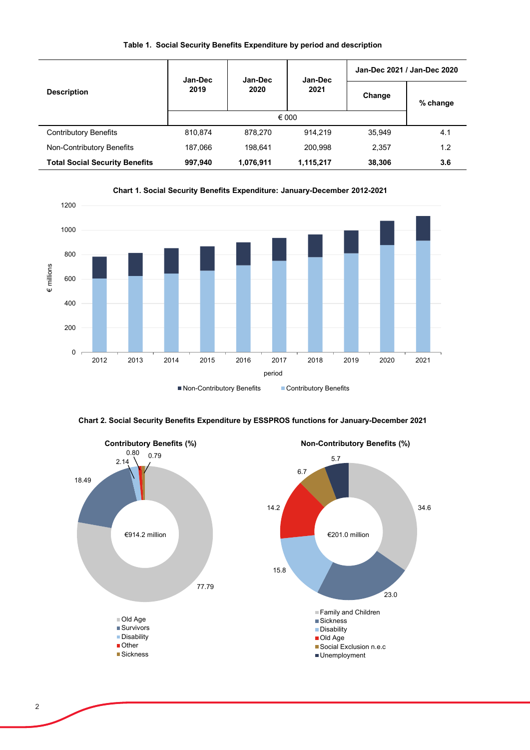| <b>Description</b>                    | Jan-Dec      | Jan-Dec   | Jan-Dec   | Jan-Dec 2021 / Jan-Dec 2020 |          |  |
|---------------------------------------|--------------|-----------|-----------|-----------------------------|----------|--|
|                                       | 2019<br>2020 |           | 2021      | Change                      | % change |  |
|                                       |              | € 000     |           |                             |          |  |
| Contributory Benefits                 | 810,874      | 878,270   | 914.219   | 35,949                      | 4.1      |  |
| Non-Contributory Benefits             | 187,066      | 198.641   | 200.998   | 2,357                       | 1.2      |  |
| <b>Total Social Security Benefits</b> | 997,940      | 1,076,911 | 1,115,217 | 38,306                      | 3.6      |  |

#### **Table 1. Social Security Benefits Expenditure by period and description**





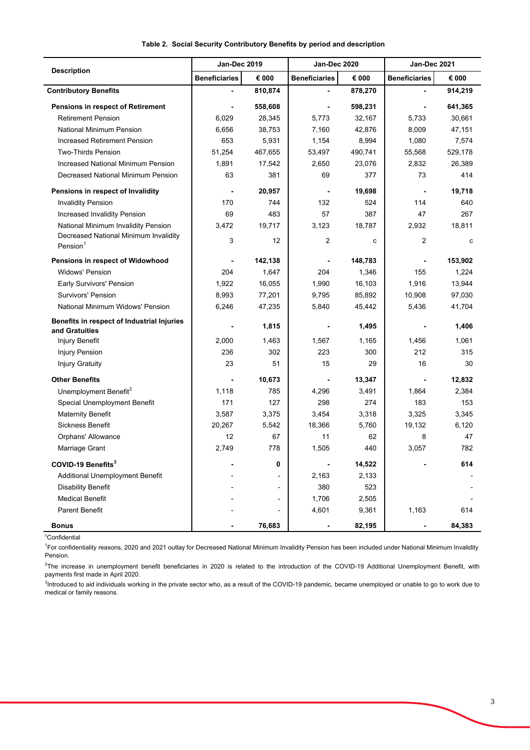|                                                               | <b>Jan-Dec 2019</b>  |                          | Jan-Dec 2020         |         | Jan-Dec 2021         |         |
|---------------------------------------------------------------|----------------------|--------------------------|----------------------|---------|----------------------|---------|
| <b>Description</b>                                            | <b>Beneficiaries</b> | € 000                    | <b>Beneficiaries</b> | € 000   | <b>Beneficiaries</b> | € 000   |
| <b>Contributory Benefits</b>                                  |                      | 810,874                  |                      | 878,270 |                      | 914,219 |
| Pensions in respect of Retirement                             |                      | 558,608                  |                      | 598,231 |                      | 641,365 |
| <b>Retirement Pension</b>                                     | 6,029                | 28,345                   | 5,773                | 32,167  | 5,733                | 30,661  |
| <b>National Minimum Pension</b>                               | 6,656                | 38,753                   | 7,160                | 42,876  | 8,009                | 47,151  |
| <b>Increased Retirement Pension</b>                           | 653                  | 5,931                    | 1,154                | 8,994   | 1,080                | 7,574   |
| <b>Two-Thirds Pension</b>                                     | 51,254               | 467,655                  | 53,497               | 490,741 | 55,568               | 529,178 |
| <b>Increased National Minimum Pension</b>                     | 1,891                | 17,542                   | 2,650                | 23,076  | 2,832                | 26,389  |
| Decreased National Minimum Pension                            | 63                   | 381                      | 69                   | 377     | 73                   | 414     |
| Pensions in respect of Invalidity                             |                      | 20,957                   | $\blacksquare$       | 19,698  | $\blacksquare$       | 19,718  |
| <b>Invalidity Pension</b>                                     | 170                  | 744                      | 132                  | 524     | 114                  | 640     |
| Increased Invalidity Pension                                  | 69                   | 483                      | 57                   | 387     | 47                   | 267     |
| National Minimum Invalidity Pension                           | 3,472                | 19,717                   | 3,123                | 18,787  | 2,932                | 18,811  |
| Decreased National Minimum Invalidity<br>Pension <sup>1</sup> | 3                    | 12                       | $\overline{2}$       | C       | $\overline{2}$       | C       |
| Pensions in respect of Widowhood                              |                      | 142,138                  |                      | 148,783 |                      | 153,902 |
| <b>Widows' Pension</b>                                        | 204                  | 1,647                    | 204                  | 1,346   | 155                  | 1,224   |
| Early Survivors' Pension                                      | 1,922                | 16,055                   | 1,990                | 16,103  | 1,916                | 13,944  |
| <b>Survivors' Pension</b>                                     | 8,993                | 77,201                   | 9,795                | 85,892  | 10,908               | 97,030  |
| National Minimum Widows' Pension                              | 6,246                | 47,235                   | 5,840                | 45,442  | 5,436                | 41,704  |
| Benefits in respect of Industrial Injuries<br>and Gratuities  |                      | 1,815                    |                      | 1,495   |                      | 1,406   |
| Injury Benefit                                                | 2,000                | 1,463                    | 1,567                | 1,165   | 1,456                | 1,061   |
| <b>Injury Pension</b>                                         | 236                  | 302                      | 223                  | 300     | 212                  | 315     |
| <b>Injury Gratuity</b>                                        | 23                   | 51                       | 15                   | 29      | 16                   | 30      |
| <b>Other Benefits</b>                                         |                      | 10,673                   |                      | 13,347  |                      | 12,832  |
| Unemployment Benefit <sup>2</sup>                             | 1,118                | 785                      | 4,296                | 3,491   | 1,864                | 2,384   |
| Special Unemployment Benefit                                  | 171                  | 127                      | 298                  | 274     | 183                  | 153     |
| <b>Maternity Benefit</b>                                      | 3,587                | 3,375                    | 3,454                | 3,318   | 3,325                | 3,345   |
| Sickness Benefit                                              | 20,267               | 5,542                    | 18,366               | 5,760   | 19,132               | 6,120   |
| Orphans' Allowance                                            | 12                   | 67                       | 11                   | 62      | 8                    | 47      |
| Marriage Grant                                                | 2,749                | 778                      | 1,505                | 440     | 3,057                | 782     |
| COVID-19 Benefits <sup>3</sup>                                |                      | 0                        |                      | 14,522  |                      | 614     |
| Additional Unemployment Benefit                               |                      |                          | 2,163                | 2,133   |                      |         |
| Disability Benefit                                            |                      |                          | 380                  | 523     |                      |         |
| <b>Medical Benefit</b>                                        |                      |                          | 1,706                | 2,505   |                      |         |
| Parent Benefit                                                |                      | $\overline{\phantom{a}}$ | 4,601                | 9,361   | 1,163                | 614     |
| <b>Bonus</b>                                                  |                      | 76,683                   |                      | 82,195  |                      | 84,383  |

#### **Table 2. Social Security Contributory Benefits by period and description**

<sup>c</sup>Confidential

<sup>1</sup>For confidentiality reasons, 2020 and 2021 outlay for Decreased National Minimum Invalidity Pension has been included under National Minimum Invalidity Pension.

 $^2$ The increase in unemployment benefit beneficiaries in 2020 is related to the introduction of the COVID-19 Additional Unemployment Benefit, with payments first made in April 2020.

 $^3$ Introduced to aid individuals working in the private sector who, as a result of the COVID-19 pandemic, became unemployed or unable to go to work due to medical or family reasons.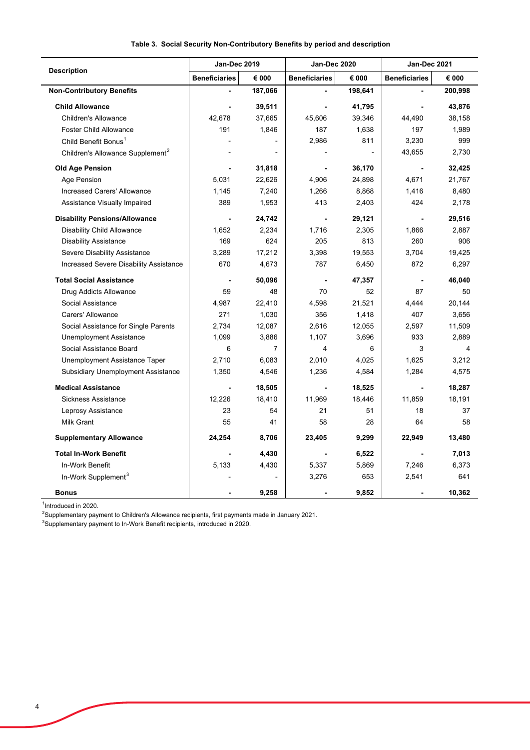|                                              | <b>Jan-Dec 2019</b>  |                | Jan-Dec 2020         |         | Jan-Dec 2021         |         |
|----------------------------------------------|----------------------|----------------|----------------------|---------|----------------------|---------|
| <b>Description</b>                           | <b>Beneficiaries</b> | € 000          | <b>Beneficiaries</b> | € 000   | <b>Beneficiaries</b> | € 000   |
| <b>Non-Contributory Benefits</b>             |                      | 187,066        |                      | 198,641 |                      | 200,998 |
| <b>Child Allowance</b>                       |                      | 39,511         |                      | 41,795  |                      | 43,876  |
| <b>Children's Allowance</b>                  | 42,678               | 37,665         | 45,606               | 39,346  | 44,490               | 38,158  |
| <b>Foster Child Allowance</b>                | 191                  | 1,846          | 187                  | 1,638   | 197                  | 1,989   |
| Child Benefit Bonus <sup>1</sup>             |                      |                | 2,986                | 811     | 3,230                | 999     |
| Children's Allowance Supplement <sup>2</sup> |                      |                |                      |         | 43,655               | 2,730   |
| <b>Old Age Pension</b>                       |                      | 31,818         |                      | 36,170  | ÷,                   | 32,425  |
| Age Pension                                  | 5,031                | 22,626         | 4,906                | 24,898  | 4,671                | 21,767  |
| Increased Carers' Allowance                  | 1,145                | 7,240          | 1,266                | 8,868   | 1,416                | 8,480   |
| Assistance Visually Impaired                 | 389                  | 1,953          | 413                  | 2,403   | 424                  | 2,178   |
| <b>Disability Pensions/Allowance</b>         |                      | 24,742         |                      | 29,121  | $\blacksquare$       | 29,516  |
| <b>Disability Child Allowance</b>            | 1,652                | 2,234          | 1,716                | 2,305   | 1,866                | 2,887   |
| <b>Disability Assistance</b>                 | 169                  | 624            | 205                  | 813     | 260                  | 906     |
| Severe Disability Assistance                 | 3,289                | 17,212         | 3,398                | 19,553  | 3,704                | 19,425  |
| Increased Severe Disability Assistance       | 670                  | 4,673          | 787                  | 6,450   | 872                  | 6,297   |
| <b>Total Social Assistance</b>               |                      | 50,096         |                      | 47,357  | $\blacksquare$       | 46,040  |
| Drug Addicts Allowance                       | 59                   | 48             | 70                   | 52      | 87                   | 50      |
| Social Assistance                            | 4,987                | 22,410         | 4,598                | 21,521  | 4.444                | 20,144  |
| Carers' Allowance                            | 271                  | 1,030          | 356                  | 1,418   | 407                  | 3,656   |
| Social Assistance for Single Parents         | 2,734                | 12,087         | 2,616                | 12,055  | 2,597                | 11,509  |
| <b>Unemployment Assistance</b>               | 1,099                | 3,886          | 1,107                | 3,696   | 933                  | 2,889   |
| Social Assistance Board                      | 6                    | $\overline{7}$ | 4                    | 6       | 3                    | 4       |
| Unemployment Assistance Taper                | 2,710                | 6,083          | 2,010                | 4,025   | 1,625                | 3,212   |
| Subsidiary Unemployment Assistance           | 1,350                | 4,546          | 1,236                | 4,584   | 1,284                | 4,575   |
| <b>Medical Assistance</b>                    |                      | 18,505         | ä,                   | 18,525  | ÷,                   | 18,287  |
| <b>Sickness Assistance</b>                   | 12,226               | 18,410         | 11,969               | 18,446  | 11,859               | 18,191  |
| Leprosy Assistance                           | 23                   | 54             | 21                   | 51      | 18                   | 37      |
| <b>Milk Grant</b>                            | 55                   | 41             | 58                   | 28      | 64                   | 58      |
| <b>Supplementary Allowance</b>               | 24,254               | 8,706          | 23,405               | 9,299   | 22,949               | 13,480  |
| <b>Total In-Work Benefit</b>                 |                      | 4,430          |                      | 6,522   | $\blacksquare$       | 7,013   |
| In-Work Benefit                              | 5,133                | 4,430          | 5,337                | 5,869   | 7,246                | 6,373   |
| In-Work Supplement <sup>3</sup>              |                      |                | 3,276                | 653     | 2,541                | 641     |
| <b>Bonus</b>                                 |                      | 9,258          |                      | 9,852   |                      | 10,362  |

# **Table 3. Social Security Non-Contributory Benefits by period and description**

 $\overline{a}$ 

<sup>1</sup>Introduced in 2020.<br><sup>2</sup>Supplementary payment to Children's Allowance recipients, first payments made in January 2021.<br><sup>3</sup>Supplementary payment to In-Work Benefit recipients, introduced in 2020.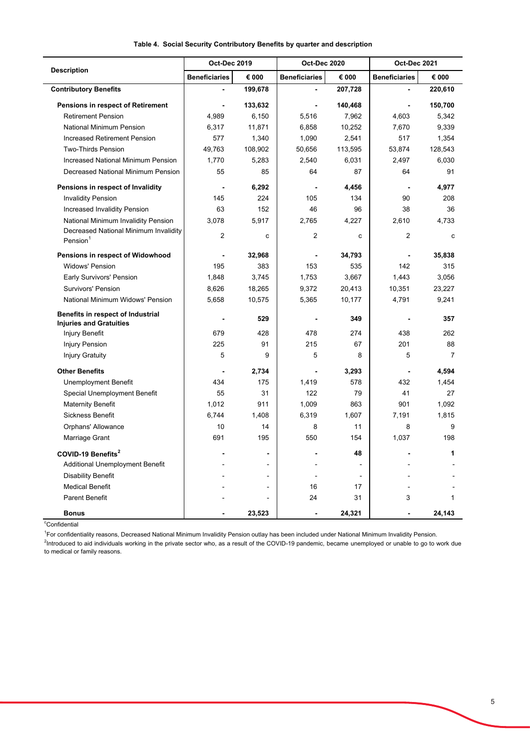|                                                                     | Oct-Dec 2019         |                | Oct-Dec 2020         |                | Oct-Dec 2021             |                |
|---------------------------------------------------------------------|----------------------|----------------|----------------------|----------------|--------------------------|----------------|
| <b>Description</b>                                                  | <b>Beneficiaries</b> | € 000          | <b>Beneficiaries</b> | € 000          | <b>Beneficiaries</b>     | € 000          |
| <b>Contributory Benefits</b>                                        |                      | 199,678        |                      | 207,728        |                          | 220,610        |
| Pensions in respect of Retirement                                   |                      | 133,632        |                      | 140,468        | $\overline{\phantom{a}}$ | 150,700        |
| <b>Retirement Pension</b>                                           | 4,989                | 6,150          | 5,516                | 7,962          | 4,603                    | 5,342          |
| <b>National Minimum Pension</b>                                     | 6,317                | 11,871         | 6,858                | 10,252         | 7,670                    | 9,339          |
| Increased Retirement Pension                                        | 577                  | 1,340          | 1,090                | 2,541          | 517                      | 1,354          |
| <b>Two-Thirds Pension</b>                                           | 49,763               | 108,902        | 50,656               | 113,595        | 53,874                   | 128,543        |
| <b>Increased National Minimum Pension</b>                           | 1,770                | 5,283          | 2,540                | 6,031          | 2,497                    | 6,030          |
| Decreased National Minimum Pension                                  | 55                   | 85             | 64                   | 87             | 64                       | 91             |
| Pensions in respect of Invalidity                                   |                      | 6,292          |                      | 4.456          |                          | 4,977          |
| <b>Invalidity Pension</b>                                           | 145                  | 224            | 105                  | 134            | 90                       | 208            |
| Increased Invalidity Pension                                        | 63                   | 152            | 46                   | 96             | 38                       | 36             |
| National Minimum Invalidity Pension                                 | 3.078                | 5,917          | 2,765                | 4,227          | 2,610                    | 4,733          |
| Decreased National Minimum Invalidity<br>Pension $1$                | $\overline{2}$       | C              | $\overline{2}$       | c              | $\overline{2}$           | c              |
| Pensions in respect of Widowhood                                    |                      | 32,968         |                      | 34,793         |                          | 35,838         |
| <b>Widows' Pension</b>                                              | 195                  | 383            | 153                  | 535            | 142                      | 315            |
| Early Survivors' Pension                                            | 1,848                | 3,745          | 1,753                | 3,667          | 1,443                    | 3,056          |
| Survivors' Pension                                                  | 8,626                | 18,265         | 9,372                | 20,413         | 10,351                   | 23,227         |
| National Minimum Widows' Pension                                    | 5,658                | 10,575         | 5,365                | 10,177         | 4,791                    | 9,241          |
| Benefits in respect of Industrial<br><b>Injuries and Gratuities</b> |                      | 529            |                      | 349            |                          | 357            |
| <b>Injury Benefit</b>                                               | 679                  | 428            | 478                  | 274            | 438                      | 262            |
| <b>Injury Pension</b>                                               | 225                  | 91             | 215                  | 67             | 201                      | 88             |
| <b>Injury Gratuity</b>                                              | 5                    | 9              | 5                    | 8              | 5                        | $\overline{7}$ |
| <b>Other Benefits</b>                                               |                      | 2,734          |                      | 3,293          | $\overline{a}$           | 4,594          |
| Unemployment Benefit                                                | 434                  | 175            | 1,419                | 578            | 432                      | 1,454          |
| Special Unemployment Benefit                                        | 55                   | 31             | 122                  | 79             | 41                       | 27             |
| <b>Maternity Benefit</b>                                            | 1,012                | 911            | 1,009                | 863            | 901                      | 1,092          |
| <b>Sickness Benefit</b>                                             | 6,744                | 1,408          | 6,319                | 1,607          | 7,191                    | 1,815          |
| Orphans' Allowance                                                  | 10                   | 14             | 8                    | 11             | 8                        | 9              |
| Marriage Grant                                                      | 691                  | 195            | 550                  | 154            | 1,037                    | 198            |
| COVID-19 Benefits <sup>2</sup>                                      |                      | $\overline{a}$ |                      | 48             |                          | 1              |
| Additional Unemployment Benefit                                     |                      | ۰              |                      | $\blacksquare$ |                          |                |
| <b>Disability Benefit</b>                                           |                      | $\overline{a}$ |                      |                |                          |                |
| <b>Medical Benefit</b>                                              |                      | ä,             | 16                   | 17             | ÷,                       |                |
| <b>Parent Benefit</b>                                               |                      |                | 24                   | 31             | 3                        | $\mathbf{1}$   |
| <b>Bonus</b>                                                        |                      | 23,523         |                      | 24,321         |                          | 24,143         |

#### **Table 4. Social Security Contributory Benefits by quarter and description**

<sup>c</sup>Confidential

<sup>1</sup>For confidentiality reasons, Decreased National Minimum Invalidity Pension outlay has been included under National Minimum Invalidity Pension.

<sup>2</sup>Introduced to aid individuals working in the private sector who, as a result of the COVID-19 pandemic, became unemployed or unable to go to work due to medical or family reasons.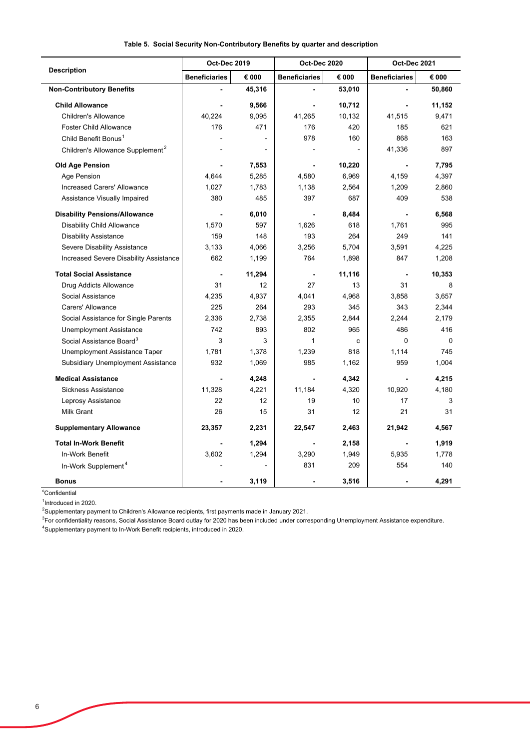|                                              | <b>Oct-Dec 2019</b>  |                | Oct-Dec 2020         |        | Oct-Dec 2021             |        |
|----------------------------------------------|----------------------|----------------|----------------------|--------|--------------------------|--------|
| <b>Description</b>                           | <b>Beneficiaries</b> | € 000          | <b>Beneficiaries</b> | € 000  | <b>Beneficiaries</b>     | € 000  |
| <b>Non-Contributory Benefits</b>             |                      | 45,316         |                      | 53,010 |                          | 50,860 |
| <b>Child Allowance</b>                       |                      | 9,566          |                      | 10,712 | $\overline{\phantom{0}}$ | 11,152 |
| <b>Children's Allowance</b>                  | 40,224               | 9,095          | 41,265               | 10,132 | 41,515                   | 9,471  |
| <b>Foster Child Allowance</b>                | 176                  | 471            | 176                  | 420    | 185                      | 621    |
| Child Benefit Bonus <sup>1</sup>             |                      |                | 978                  | 160    | 868                      | 163    |
| Children's Allowance Supplement <sup>2</sup> |                      | $\overline{a}$ |                      |        | 41,336                   | 897    |
| <b>Old Age Pension</b>                       |                      | 7,553          |                      | 10,220 | $\blacksquare$           | 7,795  |
| Age Pension                                  | 4,644                | 5,285          | 4,580                | 6,969  | 4,159                    | 4,397  |
| Increased Carers' Allowance                  | 1,027                | 1,783          | 1,138                | 2,564  | 1,209                    | 2,860  |
| Assistance Visually Impaired                 | 380                  | 485            | 397                  | 687    | 409                      | 538    |
| <b>Disability Pensions/Allowance</b>         |                      | 6,010          |                      | 8,484  | $\blacksquare$           | 6,568  |
| <b>Disability Child Allowance</b>            | 1,570                | 597            | 1,626                | 618    | 1,761                    | 995    |
| <b>Disability Assistance</b>                 | 159                  | 148            | 193                  | 264    | 249                      | 141    |
| Severe Disability Assistance                 | 3,133                | 4,066          | 3,256                | 5,704  | 3,591                    | 4,225  |
| Increased Severe Disability Assistance       | 662                  | 1,199          | 764                  | 1,898  | 847                      | 1,208  |
| <b>Total Social Assistance</b>               |                      | 11,294         |                      | 11,116 | $\blacksquare$           | 10,353 |
| Drug Addicts Allowance                       | 31                   | 12             | 27                   | 13     | 31                       | 8      |
| Social Assistance                            | 4,235                | 4,937          | 4,041                | 4,968  | 3,858                    | 3,657  |
| Carers' Allowance                            | 225                  | 264            | 293                  | 345    | 343                      | 2,344  |
| Social Assistance for Single Parents         | 2,336                | 2,738          | 2,355                | 2,844  | 2,244                    | 2,179  |
| <b>Unemployment Assistance</b>               | 742                  | 893            | 802                  | 965    | 486                      | 416    |
| Social Assistance Board <sup>3</sup>         | 3                    | 3              | 1                    | c      | $\Omega$                 | 0      |
| Unemployment Assistance Taper                | 1.781                | 1,378          | 1,239                | 818    | 1.114                    | 745    |
| Subsidiary Unemployment Assistance           | 932                  | 1,069          | 985                  | 1,162  | 959                      | 1,004  |
| <b>Medical Assistance</b>                    |                      | 4,248          |                      | 4,342  | $\blacksquare$           | 4,215  |
| Sickness Assistance                          | 11,328               | 4,221          | 11,184               | 4,320  | 10,920                   | 4,180  |
| Leprosy Assistance                           | 22                   | 12             | 19                   | 10     | 17                       | 3      |
| Milk Grant                                   | 26                   | 15             | 31                   | 12     | 21                       | 31     |
| <b>Supplementary Allowance</b>               | 23,357               | 2,231          | 22,547               | 2,463  | 21,942                   | 4,567  |
| <b>Total In-Work Benefit</b>                 |                      | 1,294          |                      | 2,158  |                          | 1,919  |
| In-Work Benefit                              | 3,602                | 1,294          | 3,290                | 1,949  | 5,935                    | 1,778  |
| In-Work Supplement <sup>4</sup>              |                      |                | 831                  | 209    | 554                      | 140    |
| <b>Bonus</b>                                 |                      | 3,119          |                      | 3,516  |                          | 4,291  |

### **Table 5. Social Security Non-Contributory Benefits by quarter and description**

 $\overline{a}$ 

L,

<sup>c</sup>Confidential <sup>1</sup>Introduced in 2020.

 $^2$ Supplementary payment to Children's Allowance recipients, first payments made in January 2021.

4 Supplementary payment to In-Work Benefit recipients, introduced in 2020. <sup>3</sup>For confidentiality reasons, Social Assistance Board outlay for 2020 has been included under corresponding Unemployment Assistance expenditure.